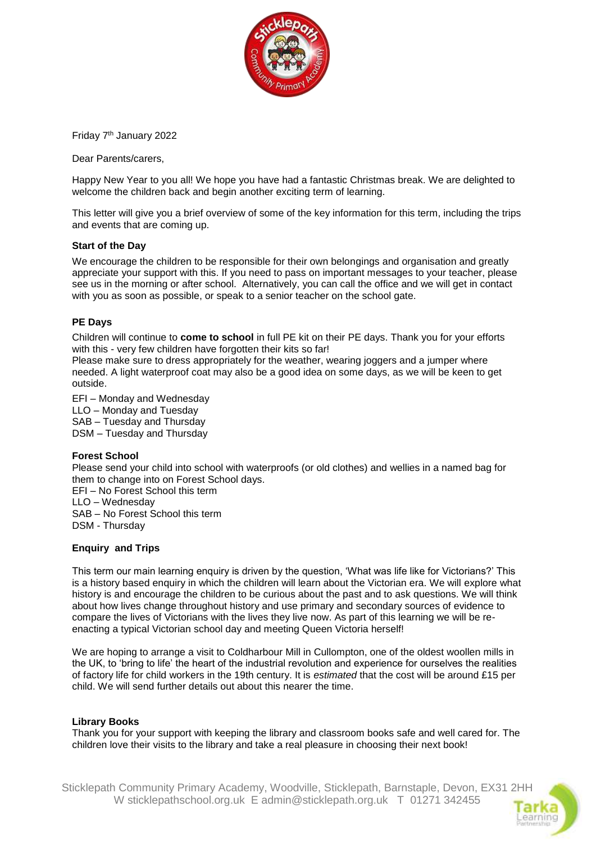

Friday 7th January 2022

Dear Parents/carers,

Happy New Year to you all! We hope you have had a fantastic Christmas break. We are delighted to welcome the children back and begin another exciting term of learning.

This letter will give you a brief overview of some of the key information for this term, including the trips and events that are coming up.

# **Start of the Day**

We encourage the children to be responsible for their own belongings and organisation and greatly appreciate your support with this. If you need to pass on important messages to your teacher, please see us in the morning or after school. Alternatively, you can call the office and we will get in contact with you as soon as possible, or speak to a senior teacher on the school gate.

#### **PE Days**

Children will continue to **come to school** in full PE kit on their PE days. Thank you for your efforts with this - very few children have forgotten their kits so far!

Please make sure to dress appropriately for the weather, wearing joggers and a jumper where needed. A light waterproof coat may also be a good idea on some days, as we will be keen to get outside.

EFI – Monday and Wednesday LLO – Monday and Tuesday SAB – Tuesday and Thursday DSM – Tuesday and Thursday

# **Forest School**

Please send your child into school with waterproofs (or old clothes) and wellies in a named bag for them to change into on Forest School days.

EFI – No Forest School this term LLO – Wednesday SAB – No Forest School this term DSM - Thursday

# **Enquiry and Trips**

This term our main learning enquiry is driven by the question, 'What was life like for Victorians?' This is a history based enquiry in which the children will learn about the Victorian era. We will explore what history is and encourage the children to be curious about the past and to ask questions. We will think about how lives change throughout history and use primary and secondary sources of evidence to compare the lives of Victorians with the lives they live now. As part of this learning we will be reenacting a typical Victorian school day and meeting Queen Victoria herself!

We are hoping to arrange a visit to Coldharbour Mill in Cullompton, one of the oldest woollen mills in the UK, to 'bring to life' the heart of the industrial revolution and experience for ourselves the realities of factory life for child workers in the 19th century. It is *estimated* that the cost will be around £15 per child. We will send further details out about this nearer the time.

# **Library Books**

Thank you for your support with keeping the library and classroom books safe and well cared for. The children love their visits to the library and take a real pleasure in choosing their next book!